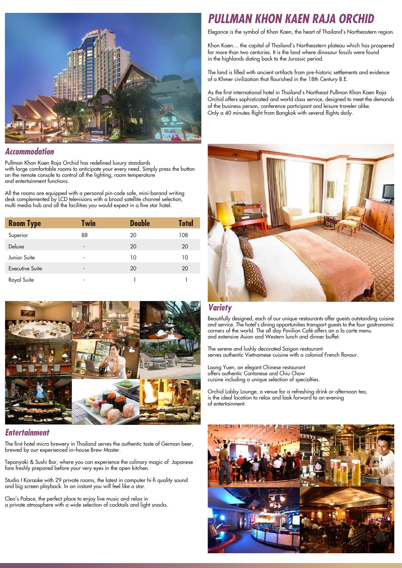

#### *Accommodation*

Pullman Khon Kaen Raja Orchid has redefined luxury standards with large comfortable rooms to anticipate your every need. Simply press the button on the remote console to control all the lighting, room temperature and entertainment functions.

All the rooms are equipped with a personal pin-code safe, mini-barand writing desk complemented by LCD televisions with a broad satellite channel selection, multi media hub and all the facilities you would expect in a five star hotel.

| <b>Room Type</b>       | <b>Twin</b>                  | <b>Double</b> | <b>Total</b> |
|------------------------|------------------------------|---------------|--------------|
| Superior               | 88                           | 20            | 108          |
| Deluxe                 | $\qquad \qquad \blacksquare$ | 20            | 20           |
| Junior Suite           | ٠                            | 10            | 10           |
| <b>Executive Suite</b> | -                            | 20            | 20           |
| Royal Suite            | ۰                            |               |              |



#### *Entertainment*

The first hotel micro brewery in Thailand serves the authentic taste of German beer, brewed by our experienced in–house Brew Master.

Tepanyaki & Sushi Bar, where you can experience the culinary magic of Japanese fare freshly prepared before your very eyes in the open kitchen.

Studio I Karaoke with 29 private rooms, the latest in computer hi-fi quality sound and big screen playback. In an instant you will feel like a star.

Cleo's Palace, the perfect place to enjoy live music and relax in a private atmosphere with a wide selection of cocktails and light snacks.

# *PULLMAN KHON KAEN RAJA ORCHID*

Elegance is the symbol of Khon Kaen, the heart of Thailand's Northeastern region.

Khon Kaen… the capital of Thailand's Northeastern plateau which has prospered for more than two centuries. It is the land where dinosaur fossils were found in the highlands dating back to the Jurassic period.

The land is filled with ancient artifacts from pre-historic settlements and evidence of a Khmer civilization that flourished in the 18th Century B.E.

As the first international hotel in Thailand's Northeast Pullman Khon Kaen Raja Orchid offers sophisticated and world class service, designed to meet the demands of the business person, conference participant and leisure traveler alike. Only a 40 minutes flight from Bangkok with several flights daily.



#### *Variety*

Beautifully designed, each of our unique restaurants offer guests outstanding cuisine and service. The hotel's dining opportunities transport guests to the four gastronomic corners of the world. The all day Pavilion Café offers an a la carte menu and extensive Asian and Western lunch and dinner buffet.

The serene and lushly decorated Saigon restaurant serves authentic Vietnamese cuisine with a colonial French flavour.

Loong Yuen, an elegant Chinese restaurant offers authentic Cantonese and Chiu Chow cuisine including a unique selection of specialties.

Orchid Lobby Lounge, a venue for a refreshing drink or afternoon tea, is the ideal location to relax and look forward to an evening of entertainment.